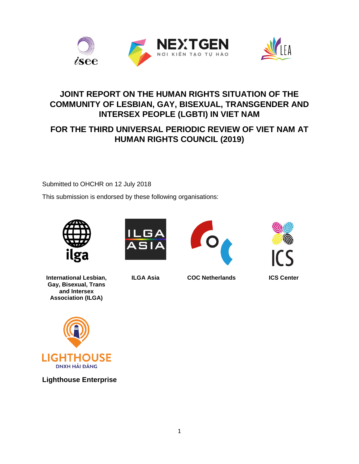



## **JOINT REPORT ON THE HUMAN RIGHTS SITUATION OF THE COMMUNITY OF LESBIAN, GAY, BISEXUAL, TRANSGENDER AND INTERSEX PEOPLE (LGBTI) IN VIET NAM**

# **FOR THE THIRD UNIVERSAL PERIODIC REVIEW OF VIET NAM AT HUMAN RIGHTS COUNCIL (2019)**

Submitted to OHCHR on 12 July 2018

This submission is endorsed by these following organisations:



**International Lesbian, Gay, Bisexual, Trans and Intersex Association (ILGA)**











**ILGA Asia COC Netherlands ICS Center**



**Lighthouse Enterprise**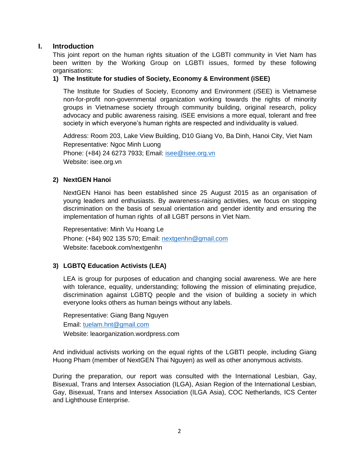#### **I. Introduction**

This joint report on the human rights situation of the LGBTI community in Viet Nam has been written by the Working Group on LGBTI issues, formed by these following organisations:

#### **1) The Institute for studies of Society, Economy & Environment (iSEE)**

The Institute for Studies of Society, Economy and Environment (*i*SEE) is Vietnamese non-for-profit non-governmental organization working towards the rights of minority groups in Vietnamese society through community building, original research, policy advocacy and public awareness raising. iSEE envisions a more equal, tolerant and free society in which everyone's human rights are respected and individuality is valued.

Address: Room 203, Lake View Building, D10 Giang Vo, Ba Dinh, Hanoi City, Viet Nam Representative: Ngoc Minh Luong Phone: (+84) 24 6273 7933; Email: [isee@isee.org.vn](mailto:isee@isee.org.vn) Website: isee.org.vn

#### **2) NextGEN Hanoi**

NextGEN Hanoi has been established since 25 August 2015 as an organisation of young leaders and enthusiasts. By awareness-raising activities, we focus on stopping discrimination on the basis of sexual orientation and gender identity and ensuring the implementation of human rights of all LGBT persons in Viet Nam.

Representative: Minh Vu Hoang Le Phone: (+84) 902 135 570; Email: [nextgenhn@gmail.com](mailto:nextgenhn@gmail.com) Website: facebook.com/nextgenhn

## **3) LGBTQ Education Activists (LEA)**

LEA is group for purposes of education and changing social awareness. We are here with tolerance, equality, understanding; following the mission of eliminating prejudice, discrimination against LGBTQ people and the vision of building a society in which everyone looks others as human beings without any labels.

Representative: Giang Bang Nguyen Email: [tuelam.hnt@gmail.com](mailto:tuelam.hnt@gmail.com) Website: leaorganization.wordpress.com

And individual activists working on the equal rights of the LGBTI people, including Giang Huong Pham (member of NextGEN Thai Nguyen) as well as other anonymous activists.

During the preparation, our report was consulted with the International Lesbian, Gay, Bisexual, Trans and Intersex Association (ILGA), Asian Region of the International Lesbian, Gay, Bisexual, Trans and Intersex Association (ILGA Asia), COC Netherlands, ICS Center and Lighthouse Enterprise.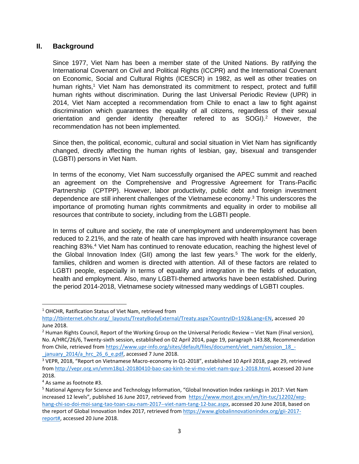#### **II. Background**

Since 1977, Viet Nam has been a member state of the United Nations. By ratifying the International Covenant on Civil and Political Rights (ICCPR) and the International Covenant on Economic, Social and Cultural Rights (ICESCR) in 1982, as well as other treaties on human rights,<sup>1</sup> Viet Nam has demonstrated its commitment to respect, protect and fulfill human rights without discrimination. During the last Universal Periodic Review (UPR) in 2014, Viet Nam accepted a recommendation from Chile to enact a law to fight against discrimination which guarantees the equality of all citizens, regardless of their sexual orientation and gender identity (hereafter refered to as SOGI).<sup>2</sup> However, the recommendation has not been implemented.

Since then, the political, economic, cultural and social situation in Viet Nam has significantly changed, directly affecting the human rights of lesbian, gay, bisexual and transgender (LGBTI) persons in Viet Nam.

In terms of the economy, Viet Nam successfully organised the APEC summit and reached an agreement on the Comprehensive and Progressive Agreement for Trans-Pacific Partnership (CPTPP). However, labor productivity, public debt and foreign investment dependence are still inherent challenges of the Vietnamese economy.<sup>3</sup> This underscores the importance of promoting human rights commitments and equality in order to mobilise all resources that contribute to society, including from the LGBTI people.

In terms of culture and society, the rate of unemployment and underemployment has been reduced to 2.21%, and the rate of health care has improved with health insurance coverage reaching 83%.<sup>4</sup> Viet Nam has continued to renovate education, reaching the highest level of the Global Innovation Index (GII) among the last few years. <sup>5</sup> The work for the elderly, families, children and women is directed with attention. All of these factors are related to LGBTI people, especially in terms of equality and integration in the fields of education, health and employment. Also, many LGBTI-themed artworks have been established. During the period 2014-2018, Vietnamese society witnessed many weddings of LGBTI couples.

<sup>&</sup>lt;sup>1</sup> OHCHR, Ratification Status of Viet Nam, retrieved from

[http://tbinternet.ohchr.org/\\_layouts/TreatyBodyExternal/Treaty.aspx?CountryID=192&Lang=EN,](http://tbinternet.ohchr.org/_layouts/TreatyBodyExternal/Treaty.aspx?CountryID=192&Lang=EN) accessed 20 June 2018.

<sup>&</sup>lt;sup>2</sup> Human Rights Council, Report of the Working Group on the Universal Periodic Review – Viet Nam (Final version), No. A/HRC/26/6, Twenty-sixth session, established on 02 April 2014, page 19, paragraph 143.88, Recommendation from Chile, retrieved fro[m https://www.upr-info.org/sites/default/files/document/viet\\_nam/session\\_18\\_](https://www.upr-info.org/sites/default/files/document/viet_nam/session_18_-_january_2014/a_hrc_26_6_e.pdf) january 2014/a hrc 26 6 e.pdf, accessed 7 June 2018.

<sup>3</sup> VEPR, 2018, "Report on Vietnamese Macro-economy in Q1-2018", established 10 April 2018, page 29, retrieved from [http://vepr.org.vn/vmm18q1-20180410-bao-cao-kinh-te-vi-mo-viet-nam-quy-1-2018.html,](http://vepr.org.vn/vmm18q1-20180410-bao-cao-kinh-te-vi-mo-viet-nam-quy-1-2018.html) accessed 20 June 2018.

<sup>4</sup> As same as footnote #3.

<sup>5</sup> National Agency for Science and Technology Information, "Global Innovation Index rankings in 2017: Viet Nam increased 12 levels", published 16 June 2017, retrieved from [https://www.most.gov.vn/vn/tin-tuc/12202/xep](https://www.most.gov.vn/vn/tin-tuc/12202/xep-hang-chi-so-doi-moi-sang-tao-toan-cau-nam-2017--viet-nam-tang-12-bac.aspx)[hang-chi-so-doi-moi-sang-tao-toan-cau-nam-2017--viet-nam-tang-12-bac.aspx,](https://www.most.gov.vn/vn/tin-tuc/12202/xep-hang-chi-so-doi-moi-sang-tao-toan-cau-nam-2017--viet-nam-tang-12-bac.aspx) accessed 20 June 2018, based on the report of Global Innovation Index 2017, retrieved fro[m https://www.globalinnovationindex.org/gii-2017](https://www.globalinnovationindex.org/gii-2017-report) [report#,](https://www.globalinnovationindex.org/gii-2017-report) accessed 20 June 2018.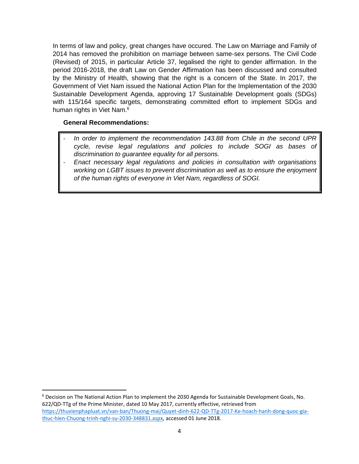In terms of law and policy, great changes have occured. The Law on Marriage and Family of 2014 has removed the prohibition on marriage between same-sex persons. The Civil Code (Revised) of 2015, in particular Article 37, legalised the right to gender affirmation. In the period 2016-2018, the draft Law on Gender Affirmation has been discussed and consulted by the Ministry of Health, showing that the right is a concern of the State. In 2017, the Government of Viet Nam issued the National Action Plan for the Implementation of the 2030 Sustainable Development Agenda, approving 17 Sustainable Development goals (SDGs) with 115/164 specific targets, demonstrating committed effort to implement SDGs and human rights in Viet Nam. 6

#### **General Recommendations:**

- In order to implement the recommendation 143.88 from Chile in the second UPR *cycle, revise legal regulations and policies to include SOGI as bases of discrimination to guarantee equality for all persons.*
- *Enact necessary legal regulations and policies in consultation with organisations working on LGBT issues to prevent discrimination as well as to ensure the enjoyment of the human rights of everyone in Viet Nam, regardless of SOGI.*

<sup>6</sup> Decision on The National Action Plan to implement the 2030 Agenda for Sustainable Development Goals, No. 622/QD-TTg of the Prime Minister, dated 10 May 2017, currently effective, retrieved from [https://thuvienphapluat.vn/van-ban/Thuong-mai/Quyet-dinh-622-QD-TTg-2017-Ke-hoach-hanh-dong-quoc-gia](https://thuvienphapluat.vn/van-ban/Thuong-mai/Quyet-dinh-622-QD-TTg-2017-Ke-hoach-hanh-dong-quoc-gia-thuc-hien-Chuong-trinh-nghi-su-2030-348831.aspx)[thuc-hien-Chuong-trinh-nghi-su-2030-348831.aspx,](https://thuvienphapluat.vn/van-ban/Thuong-mai/Quyet-dinh-622-QD-TTg-2017-Ke-hoach-hanh-dong-quoc-gia-thuc-hien-Chuong-trinh-nghi-su-2030-348831.aspx) accessed 01 June 2018.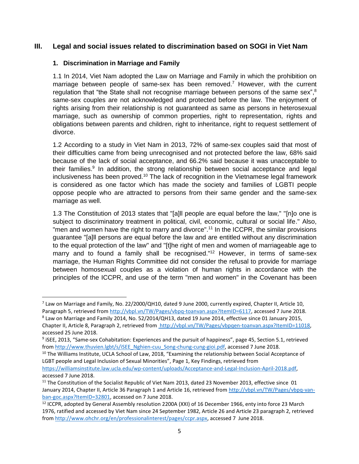## **III. Legal and social issues related to discrimination based on SOGI in Viet Nam**

#### **1. Discrimination in Marriage and Family**

l

1.1 In 2014, Viet Nam adopted the Law on Marriage and Family in which the prohibition on marriage between people of same-sex has been removed.<sup>7</sup> However, with the current regulation that "the State shall not recognise marriage between persons of the same sex",<sup>8</sup> same-sex couples are not acknowledged and protected before the law. The enjoyment of rights arising from their relationship is not guaranteed as same as persons in heterosexual marriage, such as ownership of common properties, right to representation, rights and obligations between parents and children, right to inheritance, right to request settlement of divorce.

1.2 According to a study in Viet Nam in 2013, 72% of same-sex couples said that most of their difficulties came from being unrecognised and not protected before the law, 68% said because of the lack of social acceptance, and 66.2% said because it was unacceptable to their families.<sup>9</sup> In addition, the strong relationship between social acceptance and legal inclusiveness has been proved.<sup>10</sup> The lack of recognition in the Vietnamese legal framework is considered as one factor which has made the society and families of LGBTI people oppose people who are attracted to persons from their same gender and the same-sex marriage as well.

1.3 The Constitution of 2013 states that "[a]ll people are equal before the law," "[n]o one is subject to discriminatory treatment in political, civil, economic, cultural or social life." Also, "men and women have the right to marry and divorce".<sup>11</sup> In the ICCPR, the similar provisions guarantee "[a]ll persons are equal before the law and are entitled without any discrimination to the equal protection of the law" and "[t]he right of men and women of marriageable age to marry and to found a family shall be recognised."<sup>12</sup> However, in terms of same-sex marriage, the Human Rights Committee did not consider the refusal to provide for marriage between homosexual couples as a violation of human rights in accordance with the principles of the ICCPR, and use of the term "men and women" in the Covenant has been

<sup>&</sup>lt;sup>7</sup> Law on Marriage and Family, No. 22/2000/QH10, dated 9 June 2000, currently expired, Chapter II, Article 10, Paragraph 5, retrieved fro[m http://vbpl.vn/TW/Pages/vbpq-toanvan.aspx?ItemID=6117,](http://vbpl.vn/TW/Pages/vbpq-toanvan.aspx?ItemID=6117) accessed 7 June 2018.

 $^8$  Law on Marriage and Family 2014, No. 52/2014/QH13, dated 19 June 2014, effective since 01 January 2015,

Chapter II, Article 8, Paragraph 2, retrieved from http://vbpl.vn/TW/Pages/vbpqen-toanvan.aspx?ItemID=11018, accessed 25 June 2018.

<sup>&</sup>lt;sup>9</sup> iSEE, 2013, "Same-sex Cohabitation: Experiences and the pursuit of happiness", page 45, Section 5.1, retrieved from [http://www.thuvien.lgbt/s/iSEE\\_Nghien-cuu\\_Song-chung-cung-gioi.pdf,](http://www.thuvien.lgbt/s/iSEE_Nghien-cuu_Song-chung-cung-gioi.pdf) accessed 7 June 2018.

<sup>&</sup>lt;sup>10</sup> The Williams Institute, UCLA School of Law, 2018, "Examining the relationship between Social Acceptance of LGBT people and Legal Inclusion of Sexual Minorities", Page 1, Key Findings, retrieved from

[https://williamsinstitute.law.ucla.edu/wp-content/uploads/Acceptance-and-Legal-Inclusion-April-2018.pdf,](https://williamsinstitute.law.ucla.edu/wp-content/uploads/Acceptance-and-Legal-Inclusion-April-2018.pdf) accessed 7 June 2018.

<sup>&</sup>lt;sup>11</sup> The Constitution of the Socialist Republic of Viet Nam 2013, dated 23 November 2013, effective since 01 January 2014, Chapter II, Article 36 Paragraph 1 and Article 16, retrieved from [http://vbpl.vn/TW/Pages/vbpq-van](http://vbpl.vn/TW/Pages/vbpq-van-ban-goc.aspx?ItemID=32801)[ban-goc.aspx?ItemID=32801,](http://vbpl.vn/TW/Pages/vbpq-van-ban-goc.aspx?ItemID=32801) accessed on 7 June 2018.

<sup>&</sup>lt;sup>12</sup> ICCPR, adopted by General Assembly resolution 2200A (XXI) of 16 December 1966, enty into force 23 March 1976, ratified and accessed by Viet Nam since 24 September 1982, Article 26 and Article 23 paragraph 2, retrieved from [http://www.ohchr.org/en/professionalinterest/pages/ccpr.aspx,](http://www.ohchr.org/en/professionalinterest/pages/ccpr.aspx) accessed 7 June 2018.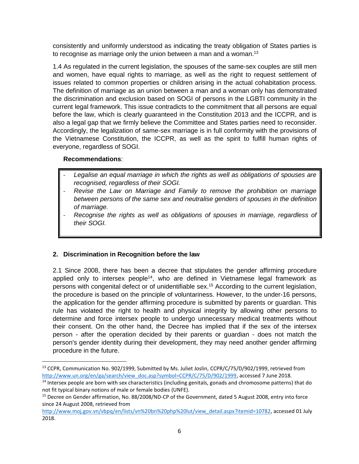consistently and uniformly understood as indicating the treaty obligation of States parties is to recognise as marriage only the union between a man and a woman.<sup>13</sup>

1.4 As regulated in the current legislation, the spouses of the same-sex couples are still men and women, have equal rights to marriage, as well as the right to request settlement of issues related to common properties or children arising in the actual cohabitation process. The definition of marriage as an union between a man and a woman only has demonstrated the discrimination and exclusion based on SOGI of persons in the LGBTI community in the current legal framework. This issue contradicts to the commitment that all persons are equal before the law, which is clearly guaranteed in the Constitution 2013 and the ICCPR, and is also a legal gap that we firmly believe the Committee and States parties need to reconsider. Accordingly, the legalization of same-sex marriage is in full conformity with the provisions of the Vietnamese Constitution, the ICCPR, as well as the spirit to fulfill human rights of everyone, regardless of SOGI.

#### **Recommendations**:

 $\overline{a}$ 

- Legalise an equal marriage in which the rights as well as obligations of spouses are *recognised, regardless of their SOGI.*
- *Revise the Law on Marriage and Family to remove the prohibition on marriage between persons of the same sex and neutralise genders of spouses in the definition of marriage.*
- *Recognise the rights as well as obligations of spouses in marriage, regardless of their SOGI.*

## **2. Discrimination in Recognition before the law**

2.1 Since 2008, there has been a decree that stipulates the gender affirming procedure applied only to intersex people<sup>14</sup>, who are defined in Vietnamese legal framework as persons with congenital defect or of unidentifiable sex. <sup>15</sup> According to the current legislation, the procedure is based on the principle of voluntariness. However, to the under-16 persons, the application for the gender affirming procedure is submitted by parents or guardian. This rule has violated the right to health and physical integrity by allowing other persons to determine and force intersex people to undergo unnecessary medical treatments without their consent. On the other hand, the Decree has implied that if the sex of the intersex person - after the operation decided by their parents or guardian - does not match the person's gender identity during their development, they may need another gender affirming procedure in the future.

<sup>13</sup> CCPR, Communication No. 902/1999, Submitted by Ms. Juliet Joslin, CCPR/C/75/D/902/1999, retrieved from [http://www.un.org/en/ga/search/view\\_doc.asp?symbol=CCPR/C/75/D/902/1999,](http://www.ohchr.org/en/professionalinterest/pages/ccpr.aspx) accessed 7 June 2018.

<sup>&</sup>lt;sup>14</sup> Intersex people are born with sex characteristics (including genitals, gonads and chromosome patterns) that do not fit typical binary notions of male or female bodies (UNFE).

<sup>&</sup>lt;sup>15</sup> Decree on Gender affirmation, No. [88/2008/ND-CP of the Government, dated 5 August](http://vbpl.vn/TW/Pages/vbpq-toanvan.aspx?ItemID=95942) 2008, entry into force since 24 August 2008, retrieved from

[http://www.moj.gov.vn/vbpq/en/lists/vn%20bn%20php%20lut/view\\_detail.aspx?itemid=10782,](http://vbpl.vn/TW/Pages/vbpq-toanvan.aspx?ItemID=95942) accessed 01 July 2018.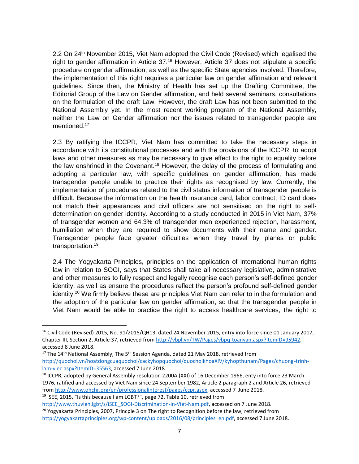2.2 On 24<sup>th</sup> November 2015, Viet Nam adopted the Civil Code (Revised) which legalised the right to gender affirmation in Article 37.<sup>16</sup> However, Article 37 does not stipulate a specific procedure on gender affirmation, as well as the specific State agencies involved. Therefore, the implementation of this right requires a particular law on gender affirmation and relevant guidelines. Since then, the Ministry of Health has set up the Drafting Committee, the Editorial Group of the Law on Gender affirmation, and held several seminars, consultations on the formulation of the draft Law. However, the draft Law has not been submitted to the National Assembly yet. In the most recent working program of the National Assembly, neither the Law on Gender affirmation nor the issues related to transgender people are mentioned.<sup>17</sup>

2.3 By ratifying the ICCPR, Viet Nam has committed to take the necessary steps in accordance with its constitutional processes and with the provisions of the ICCPR, to adopt laws and other measures as may be necessary to give effect to the right to equality before the law enshrined in the Covenant.<sup>18</sup> However, the delay of the process of formulating and adopting a particular law, with specific guidelines on gender affirmation, has made transgender people unable to practice their rights as recognised by law. Currently, the implementation of procedures related to the civil status information of transgender people is difficult. Because the information on the health insurance card, labor contract, ID card does not match their appearances and civil officers are not sensitised on the right to selfdetermination on gender identity. According to a study conducted in 2015 in Viet Nam, 37% of transgender women and 64.3% of transgender men experienced rejection, harassment, humiliation when they are required to show documents with their name and gender. Transgender people face greater dificulties when they travel by planes or public transportation. 19

2.4 The Yogyakarta Principles, principles on the application of international human rights law in relation to SOGI, says that States shall take all necessary legislative, administrative and other measures to fully respect and legally recognise each person's self-defined gender identity, as well as ensure the procedures reflect the person's profound self-defined gender identity.<sup>20</sup> We firmly believe these are principles Viet Nam can refer to in the formulation and the adoption of the particular law on gender affirmation, so that the transgender people in Viet Nam would be able to practice the right to access healthcare services, the right to

 $17$  The 14<sup>th</sup> National Assembly, The 5<sup>th</sup> Session Agenda, dated 21 May 2018, retrieved from [http://quochoi.vn/hoatdongcuaquochoi/cackyhopquochoi/quochoikhoaXIV/kyhopthunam/Pages/chuong-trinh](http://quochoi.vn/hoatdongcuaquochoi/cackyhopquochoi/quochoikhoaXIV/kyhopthunam/Pages/chuong-trinh-lam-viec.aspx?ItemID=35563)[lam-viec.aspx?ItemID=35563,](http://quochoi.vn/hoatdongcuaquochoi/cackyhopquochoi/quochoikhoaXIV/kyhopthunam/Pages/chuong-trinh-lam-viec.aspx?ItemID=35563) accessed 7 June 2018.

<sup>18</sup> ICCPR, adopted by General Assembly resolution 2200A (XXI) of 16 December 1966, enty into force 23 March 1976, ratified and accessed by Viet Nam since 24 September 1982, Article 2 paragraph 2 and Article 26, retrieved from [http://www.ohchr.org/en/professionalinterest/pages/ccpr.aspx,](http://www.ohchr.org/en/professionalinterest/pages/ccpr.aspx) accessed 7 June 2018.

<sup>19</sup> iSEE, 2015, "Is this because I am LGBT?", page 72, Table 10, retrieved from

<sup>&</sup>lt;sup>16</sup> Civil Code (Revised) 2015, No. 91/2015/QH13, dated 24 November 2015, entry into force since 01 January 2017, Chapter III, Section 2, Article 37, retrieved from [http://vbpl.vn/TW/Pages/vbpq-toanvan.aspx?ItemID=95942,](http://vbpl.vn/TW/Pages/vbpq-toanvan.aspx?ItemID=95942) accessed 8 June 2018.

[http://www.thuvien.lgbt/s/iSEE\\_SOGI-Discrimination-in-Viet-Nam.pdf,](http://www.thuvien.lgbt/s/iSEE_SOGI-Discrimination-in-Viet-Nam.pdf) accessed on 7 June 2018.  $20$  Yogyakarta Principles, 2007, Princple 3 on The right to Recognition before the law, retrieved from [http://yogyakartaprinciples.org/wp-content/uploads/2016/08/principles\\_en.pdf,](http://yogyakartaprinciples.org/wp-content/uploads/2016/08/principles_en.pdf) accessed 7 June 2018.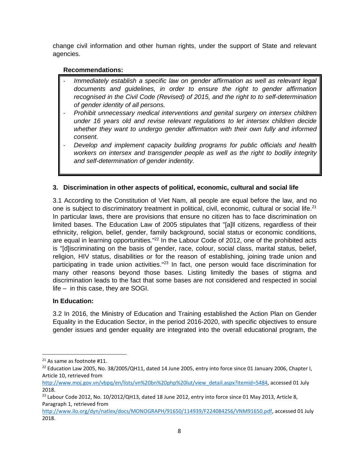change civil information and other human rights, under the support of State and relevant agencies.

## **Recommendations:**

- *Immediately establish a specific law on gender affirmation as well as relevant legal documents and guidelines, in order to ensure the right to gender affirmation recognised in the Civil Code (Revised) of 2015, and the right to to self-determination of gender identity of all persons.*
- *Prohibit unnecessary medical interventions and genital surgery on intersex children under 16 years old and revise relevant regulations to let intersex children decide whether they want to undergo gender affirmation with their own fully and informed consent.*
- *Develop and implement capacity building programs for public officials and health workers on intersex and transgender people as well as the right to bodily integrity and self-determination of gender indentity.*

## **3. Discrimination in other aspects of political, economic, cultural and social life**

3.1 According to the Constitution of Viet Nam, all people are equal before the law, and no one is subject to discriminatory treatment in political, civil, economic, cultural or social life.<sup>21</sup> In particular laws, there are provisions that ensure no citizen has to face discrimination on limited bases. The Education Law of 2005 stipulates that "[a]ll citizens, regardless of their ethnicity, religion, belief, gender, family background, social status or economic conditions, are equal in learning opportunities."<sup>22</sup> In the Labour Code of 2012, one of the prohibited acts is "[d]iscriminating on the basis of gender, race, colour, social class, marital status, belief, religion, HIV status, disabilities or for the reason of establishing, joining trade union and participating in trade union activities."<sup>23</sup> In fact, one person would face discrimination for many other reasons beyond those bases. Listing limitedly the bases of stigma and discrimination leads to the fact that some bases are not considered and respected in social life – in this case, they are SOGI.

## **In Education:**

3.2 In 2016, the Ministry of Education and Training established the Action Plan on Gender Equality in the Education Sector, in the period 2016-2020, with specific objectives to ensure gender issues and gender equality are integrated into the overall educational program, the

<sup>&</sup>lt;sup>21</sup> As same as footnote #11.

<sup>&</sup>lt;sup>22</sup> Education Law 2005, No. 38/2005/QH11, dated 14 June 2005, entry into force since 01 January 2006, Chapter I, Article 10, retrieved from

[http://www.moj.gov.vn/vbpq/en/lists/vn%20bn%20php%20lut/view\\_detail.aspx?itemid=5484,](http://vbpl.vn/TW/Pages/vbpq-toanvan.aspx?ItemID=18129) accessed 01 July 2018.

<sup>&</sup>lt;sup>23</sup> Labour Code 2012, No. 10/2012/QH13, dated 18 June 2012, entry into force since 01 May 2013, Article 8, Paragraph 1, retrieved from

[http://www.ilo.org/dyn/natlex/docs/MONOGRAPH/91650/114939/F224084256/VNM91650.pdf,](http://vbpl.vn/TW/Pages/vbpq-toanvan.aspx?ItemID=27615) accessed 01 July 2018.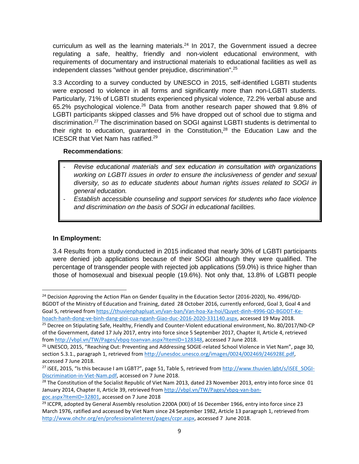curriculum as well as the learning materials. $24$  In 2017, the Government issued a decree regulating a safe, healthy, friendly and non-violent educational environment, with requirements of documentary and instructional materials to educational facilities as well as independent classes "without gender prejudice, discrimination".<sup>25</sup>

3.3 According to a survey conducted by UNESCO in 2015, self-identified LGBTI students were exposed to violence in all forms and significantly more than non-LGBTI students. Particularly, 71% of LGBTI students experienced physical violence, 72.2% verbal abuse and 65.2% psychological violence.<sup>26</sup> Data from another research paper showed that 9.8% of LGBTI participants skipped classes and 5% have dropped out of school due to stigma and discrimination.<sup>27</sup> The discrimination based on SOGI against LGBTI students is detrimental to their right to education, guaranteed in the Constitution, $28$  the Education Law and the ICESCR that Viet Nam has ratified. 29

#### **Recommendations**:

- *Revise educational materials and sex education in consultation with organizations working on LGBTI issues in order to ensure the inclusiveness of gender and sexual diversity, so as to educate students about human rights issues related to SOGI in general education.*
- *Establish accessible counseling and support services for students who face violence and discrimination on the basis of SOGI in educational facilities.*

## **In Employment:**

 $\overline{\phantom{a}}$ 

3.4 Results from a study conducted in 2015 indicated that nearly 30% of LGBTI participants were denied job applications because of their SOGI although they were qualified. The percentage of transgender people with rejected job applications (59.0%) is thrice higher than those of homosexual and bisexual people (19.6%). Not only that, 13.8% of LGBTI people

 $24$  Decision Approving the Action Plan on Gender Equality in the Education Sector (2016-2020), No. 4996/QD-BGDDT of the Ministry of Education and Training, dated 28 October 2016, currently enforced, Goal 3, Goal 4 and Goal 5, retrieved fro[m https://thuvienphapluat.vn/van-ban/Van-hoa-Xa-hoi/Quyet-dinh-4996-QD-BGDDT-Ke](https://thuvienphapluat.vn/van-ban/Van-hoa-Xa-hoi/Quyet-dinh-4996-QD-BGDDT-Ke-hoach-hanh-dong-ve-binh-dang-gioi-cua-nganh-Giao-duc-2016-2020-331140.aspx)[hoach-hanh-dong-ve-binh-dang-gioi-cua-nganh-Giao-duc-2016-2020-331140.aspx,](https://thuvienphapluat.vn/van-ban/Van-hoa-Xa-hoi/Quyet-dinh-4996-QD-BGDDT-Ke-hoach-hanh-dong-ve-binh-dang-gioi-cua-nganh-Giao-duc-2016-2020-331140.aspx) accessed 19 May 2018.

<sup>&</sup>lt;sup>25</sup> Decree on Stipulating Safe, Healthy, Friendly and Counter-Violent educational environment, No. 80/2017/ND-CP of the Government, dated 17 July 2017, entry into force since 5 September 2017, Chapter II, Article 4, retrieved from [http://vbpl.vn/TW/Pages/vbpq-toanvan.aspx?ItemID=128348,](http://vbpl.vn/TW/Pages/vbpq-toanvan.aspx?ItemID=128348) accessed 7 June 2018.

<sup>&</sup>lt;sup>26</sup> UNESCO, 2015, "Reaching Out: Preventing and Addressing SOGIE-related School Violence in Viet Nam", page 30, section 5.3.1., paragraph 1, retrieved fro[m http://unesdoc.unesco.org/images/0024/002469/246928E.pdf,](http://unesdoc.unesco.org/images/0024/002469/246928E.pdf) accessed 7 June 2018.

<sup>&</sup>lt;sup>27</sup> iSEE, 2015, "Is this because I am LGBT?", page 51, Table 5, retrieved from [http://www.thuvien.lgbt/s/iSEE\\_SOGI-](http://www.thuvien.lgbt/s/iSEE_SOGI-Discrimination-in-Viet-Nam.pdf)[Discrimination-in-Viet-Nam.pdf,](http://www.thuvien.lgbt/s/iSEE_SOGI-Discrimination-in-Viet-Nam.pdf) accessed on 7 June 2018.

<sup>&</sup>lt;sup>28</sup> The Constitution of the Socialist Republic of Viet Nam 2013, dated 23 November 2013, entry into force since 01 January 2014, Chapter II, Article 39, retrieved from [http://vbpl.vn/TW/Pages/vbpq-van-ban](http://vbpl.vn/TW/Pages/vbpq-van-ban-goc.aspx?ItemID=32801)[goc.aspx?ItemID=32801,](http://vbpl.vn/TW/Pages/vbpq-van-ban-goc.aspx?ItemID=32801) accessed on 7 June 2018

<sup>&</sup>lt;sup>29</sup> ICCPR, adopted by General Assembly resolution 2200A (XXI) of 16 December 1966, entry into force since 23 March 1976, ratified and accessed by Viet Nam since 24 September 1982, Article 13 paragraph 1, retrieved from [http://www.ohchr.org/en/professionalinterest/pages/ccpr.aspx,](http://www.ohchr.org/en/professionalinterest/pages/ccpr.aspx) accessed 7 June 2018.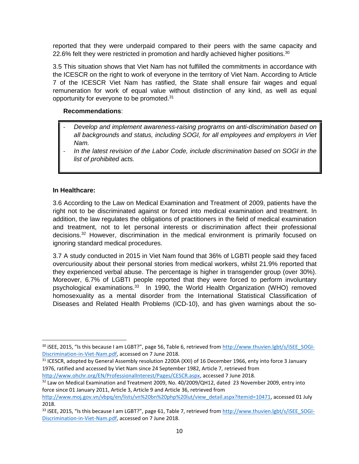reported that they were underpaid compared to their peers with the same capacity and 22.6% felt they were restricted in promotion and hardly achieved higher positions.<sup>30</sup>

3.5 This situation shows that Viet Nam has not fulfilled the commitments in accordance with the ICESCR on the right to work of everyone in the territory of Viet Nam. According to Article 7 of the ICESCR Viet Nam has ratified, the State shall ensure fair wages and equal remuneration for work of equal value without distinction of any kind, as well as equal opportunity for everyone to be promoted.<sup>31</sup>

## **Recommendations**:

- *Develop and implement awareness-raising programs on anti-discrimination based on all backgrounds and status, including SOGI, for all employees and employers in Viet Nam.*
- *In the latest revision of the Labor Code, include discrimination based on SOGI in the list of prohibited acts.*

#### **In Healthcare:**

 $\overline{\phantom{a}}$ 

3.6 According to the Law on Medical Examination and Treatment of 2009, patients have the right not to be discriminated against or forced into medical examination and treatment. In addition, the law regulates the obligations of practitioners in the field of medical examination and treatment, not to let personal interests or discrimination affect their professional decisions.<sup>32</sup> However, discrimination in the medical environment is primarily focused on ignoring standard medical procedures.

3.7 A study conducted in 2015 in Viet Nam found that 36% of LGBTI people said they faced overcuriousity about their personal stories from medical workers, whilst 21.9% reported that they experienced verbal abuse. The percentage is higher in transgender group (over 30%). Moreover, 6.7% of LGBTI people reported that they were forced to perform involuntary psychological examinations.<sup>33</sup> In 1990, the World Health Organization (WHO) removed homosexuality as a mental disorder from the International Statistical Classification of Diseases and Related Health Problems (ICD-10), and has given warnings about the so-

<sup>31</sup> ICESCR, adopted by General Assembly resolution 2200A (XXI) of 16 December 1966, enty into force 3 January 1976, ratified and accessed by Viet Nam since 24 September 1982, Article 7, retrieved from [http://www.ohchr.org/EN/ProfessionalInterest/Pages/CESCR.aspx,](http://www.ohchr.org/EN/ProfessionalInterest/Pages/CESCR.aspx) accessed 7 June 2018.

<sup>32</sup> Law on Medical Examination and Treatment 2009, No. 40/2009/QH12, dated 23 November 2009, entry into force since 01 January 2011, Article 3, Article 9 and Article 36, retrieved from

<sup>&</sup>lt;sup>30</sup> iSEE, 2015, "Is this because I am LGBT?", page 56, Table 6, retrieved from [http://www.thuvien.lgbt/s/iSEE\\_SOGI-](http://www.thuvien.lgbt/s/iSEE_SOGI-Discrimination-in-Viet-Nam.pdf)[Discrimination-in-Viet-Nam.pdf,](http://www.thuvien.lgbt/s/iSEE_SOGI-Discrimination-in-Viet-Nam.pdf) accessed on 7 June 2018.

[http://www.moj.gov.vn/vbpq/en/lists/vn%20bn%20php%20lut/view\\_detail.aspx?itemid=10471,](http://vbpl.vn/TW/Pages/vbpq-toanvan.aspx?ItemID=25170) accessed 01 July 2018.

 $33$  iSEE, 2015, "Is this because I am LGBT?", page 61, Table 7, retrieved from [http://www.thuvien.lgbt/s/iSEE\\_SOGI-](http://www.thuvien.lgbt/s/iSEE_SOGI-Discrimination-in-Viet-Nam.pdf)[Discrimination-in-Viet-Nam.pdf,](http://www.thuvien.lgbt/s/iSEE_SOGI-Discrimination-in-Viet-Nam.pdf) accessed on 7 June 2018.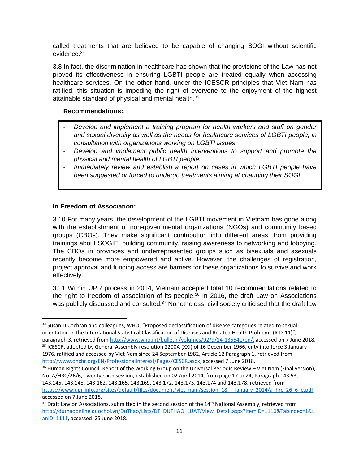called treatments that are believed to be capable of changing SOGI without scientific evidence. 34

3.8 In fact, the discrimination in healthcare has shown that the provisions of the Law has not proved its effectiveness in ensuring LGBTI people are treated equally when accessing healthcare services. On the other hand, under the ICESCR principles that Viet Nam has ratified, this situation is impeding the right of everyone to the enjoyment of the highest attainable standard of physical and mental health.<sup>35</sup>

#### **Recommendations:***.*

- *Develop and implement a training program for health workers and staff on gender and sexual diversity as well as the needs for healthcare services of LGBTI people, in consultation with organizations working on LGBTI issues.*
- *Develop and implement public health interventions to support and promote the physical and mental health of LGBTI people.*
- *Immediately review and establish a report on cases in which LGBTI people have been suggested or forced to undergo treatments aiming at changing their SOGI.*

## **In Freedom of Association:**

 $\overline{\phantom{a}}$ 

3.10 For many years, the development of the LGBTI movement in Vietnam has gone along with the establishment of non-governmental organizations (NGOs) and community based groups (CBOs). They make significant contribution into different areas, from providing trainings about SOGIE, building community, raising awareness to networking and lobbying. The CBOs in provinces and underrepresented groups such as bisexuals and asexuals recently become more empowered and active. However, the challenges of registration, project approval and funding access are barriers for these organizations to survive and work effectively.

3.11 Within UPR process in 2014, Vietnam accepted total 10 recommendations related to the right to freedom of association of its people.<sup>36</sup> In 2016, the draft Law on Associations was publicly discussed and consulted.<sup>37</sup> Nonetheless, civil society criticised that the draft law

<sup>&</sup>lt;sup>34</sup> Susan D Cochran and colleagues, WHO, "Proposed declassification of disease categories related to sexual orientation in the International Statistical Classification of Diseases and Related Health Problems (ICD-11)", paragraph 3, retrieved from [http://www.who.int/bulletin/volumes/92/9/14-135541/en/,](http://www.who.int/bulletin/volumes/92/9/14-135541/en/) accessed on 7 June 2018. <sup>35</sup> ICESCR, adopted by General Assembly resolution 2200A (XXI) of 16 December 1966, enty into force 3 January 1976, ratified and accessed by Viet Nam since 24 September 1982, Article 12 Paragraph 1, retrieved from [http://www.ohchr.org/EN/ProfessionalInterest/Pages/CESCR.aspx,](http://www.ohchr.org/EN/ProfessionalInterest/Pages/CESCR.aspx) accessed 7 June 2018.

<sup>&</sup>lt;sup>36</sup> Human Rights Council, Report of the Working Group on the Universal Periodic Review – Viet Nam (Final version), No. A/HRC/26/6, Twenty-sixth session, established on 02 April 2014, from page 17 to 24, Paragraph 143.53, 143.145, 143.148, 143.162, 143.165, 143.169, 143.172, 143.173, 143.174 and 143.178, retrieved from https://www.upr-info.org/sites/default/files/document/viet\_nam/session\_18\_-\_january\_2014/a\_hrc\_26\_6\_e.pdf, accessed on 7 June 2018.

 $37$  Draft Law on Associations, submitted in the second session of the  $14$ <sup>th</sup> National Assembly, retrieved from [http://duthaoonline.quochoi.vn/DuThao/Lists/DT\\_DUTHAO\\_LUAT/View\\_Detail.aspx?ItemID=1110&TabIndex=1&L](http://duthaoonline.quochoi.vn/DuThao/Lists/DT_DUTHAO_LUAT/View_Detail.aspx?ItemID=1110&TabIndex=1&LanID=1111) [anID=1111,](http://duthaoonline.quochoi.vn/DuThao/Lists/DT_DUTHAO_LUAT/View_Detail.aspx?ItemID=1110&TabIndex=1&LanID=1111) accessed 25 June 2018.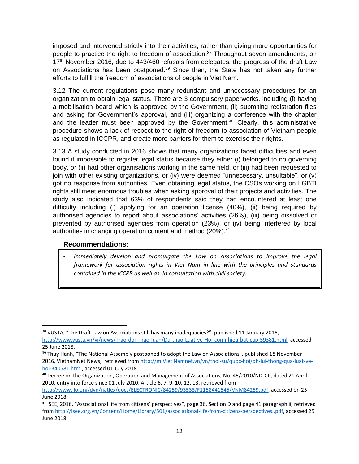imposed and intervened strictly into their activities, rather than giving more opportunities for people to practice the right to freedom of association.<sup>38</sup> Throughout seven amendments, on 17<sup>th</sup> November 2016, due to 443/460 refusals from delegates, the progress of the draft Law on Associations has been postponed.<sup>39</sup> Since then, the State has not taken any further efforts to fulfill the freedom of associations of people in Viet Nam.

3.12 The current regulations pose many redundant and unnecessary procedures for an organization to obtain legal status. There are 3 compulsory paperworks, including (i) having a mobilisation board which is approved by the Government, (ii) submiting registration files and asking for Government's approval, and (iii) organizing a conference with the chapter and the leader must been approved by the Government.<sup>40</sup> Clearly, this administrative procedure shows a lack of respect to the right of freedom to association of Vietnam people as regulated in ICCPR, and create more barriers for them to exercise their rights.

3.13 A study conducted in 2016 shows that many organizations faced difficulties and even found it impossible to register legal status because they either (i) belonged to no governing body, or (ii) had other organisations working in the same field, or (iii) had been requested to join with other existing organizations, or (iv) were deemed "unnecessary, unsuitable", or (v) got no response from authorities. Even obtaining legal status, the CSOs working on LGBTI rights still meet enormous troubles when asking approval of their projects and activities. The study also indicated that 63% of respondents said they had encountered at least one difficulty including (i) applying for an operation license (40%), (ii) being required by authorised agencies to report about associations' activities (26%), (iii) being dissolved or prevented by authorised agencies from operation (23%), or (iv) being interfered by local authorities in changing operation content and method (20%).<sup>41</sup>

## **Recommendations:**

 $\overline{\phantom{a}}$ 

Immediately develop and promulgate the Law on Associations to improve the legal *framework for association rights in Viet Nam in line with the principles and standards contained in the ICCPR as well as in consultation with civil society.*

<sup>&</sup>lt;sup>38</sup> VUSTA. "The Draft Law on Associations still has many inadequacies?", published 11 January 2016, [http://www.vusta.vn/vi/news/Trao-doi-Thao-luan/Du-thao-Luat-ve-Hoi-con-nhieu-bat-cap-59381.html,](http://www.vusta.vn/vi/news/Trao-doi-Thao-luan/Du-thao-Luat-ve-Hoi-con-nhieu-bat-cap-59381.html) accessed 25 June 2018.

<sup>&</sup>lt;sup>39</sup> Thuy Hanh, "The National Assembly postponed to adopt the Law on Associations", published 18 November 2016, VietnamNet News, retrieved from http://m.Viet Namnet.vn/vn/thoi-su/quoc-hoi/qh-lui-thong-qua-luat-vehoi-340581.html, accessed 01 July 2018.

<sup>40</sup> Decree on the Organization, Operation and Management of Associations, No. 45/2010/ND-CP, dated 21 April 2010, entry into force since 01 July 2010, Article 6, 7, 9, 10, 12, 13, retrieved from

http://www.ilo.org/dyn/natlex/docs/ELECTRONIC/84259/93533/F1158441545/VNM84259.pdf, accessed on 25 June 2018.

<sup>&</sup>lt;sup>41</sup> iSEE, 2016, "Associational life from citizens' perspectives", page 36, Section D and page 41 paragraph ii, retrieved from [http://isee.org.vn/Content/Home/Library/501/associational-life-from-citizens-perspectives..pdf,](http://isee.org.vn/Content/Home/Library/501/associational-life-from-citizens-perspectives..pdf) accessed 25 June 2018.